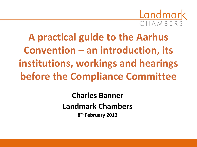

**A practical guide to the Aarhus Convention – an introduction, its institutions, workings and hearings before the Compliance Committee**

> **Charles Banner Landmark Chambers**

**8th February 2013**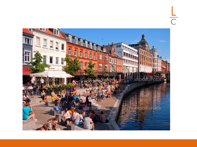# $\frac{1}{C}$

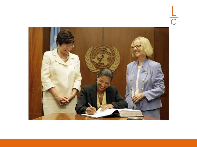# $\overline{\mathsf{C}}$

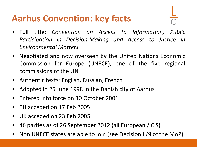#### **Aarhus Convention: key facts**

- Full title: *Convention on Access to Information, Public Participation in Decision-Making and Access to Justice in Environmental Matters*
- Negotiated and now overseen by the United Nations Economic Commission for Europe (UNECE), one of the five regional commissions of the UN
- Authentic texts: English, Russian, French
- Adopted in 25 June 1998 in the Danish city of Aarhus
- Entered into force on 30 October 2001
- EU acceded on 17 Feb 2005
- UK acceded on 23 Feb 2005
- 46 parties as of 26 September 2012 (all European / CIS)
- Non UNECE states are able to join (see Decision II/9 of the MoP)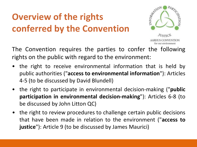# **Overview of the rights conferred by the Convention**



**JUSTICE** RHUS CONVENTION for our environment.

The Convention requires the parties to confer the following rights on the public with regard to the environment:

- the right to receive environmental information that is held by public authorities ("**access to environmental information**"): Articles 4-5 (to be discussed by David Blundell)
- the right to participate in environmental decision-making ("**public participation in environmental decision-making**"): Articles 6-8 (to be discussed by John Litton QC)
- the right to review procedures to challenge certain public decisions that have been made in relation to the environment ("**access to justice**"): Article 9 (to be discussed by James Maurici)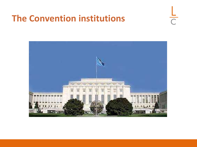#### **The Convention institutions**



 $\frac{L}{C}$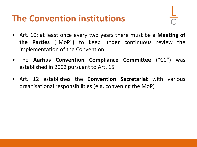#### **The Convention institutions**

- Art. 10: at least once every two years there must be a **Meeting of the Parties** ("MoP") to keep under continuous review the implementation of the Convention.
- The **Aarhus Convention Compliance Committee** ("CC") was established in 2002 pursuant to Art. 15
- Art. 12 establishes the **Convention Secretariat** with various organisational responsibilities (e.g. convening the MoP)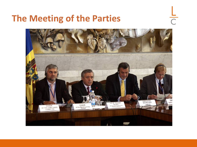#### **The Meeting of the Parties**

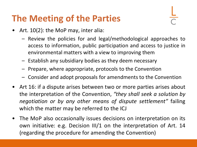#### **The Meeting of the Parties**

- Art. 10(2): the MoP may, inter alia:
	- Review the policies for and legal/methodological approaches to access to information, public participation and access to justice in environmental matters with a view to improving them
	- Establish any subsidiary bodies as they deem necessary
	- Prepare, where appropriate, protocols to the Convention
	- Consider and adopt proposals for amendments to the Convention
- Art 16: if a dispute arises between two or more parties arises about the interpretation of the Convention, *"they shall seek a solution by negotiation or by any other means of dispute settlement"* failing which the matter may be referred to the ICJ
- The MoP also occasionally issues decisions on interpretation on its own initiative: e.g. Decision III/1 on the interpretation of Art. 14 (regarding the procedure for amending the Convention)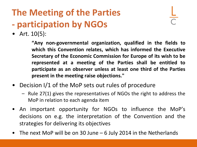### **The Meeting of the Parties - participation by NGOs**

• Art. 10(5):

**"Any non-governmental organization, qualified in the fields to which this Convention relates, which has informed the Executive Secretary of the Economic Commission for Europe of its wish to be represented at a meeting of the Parties shall be entitled to participate as an observer unless at least one third of the Parties present in the meeting raise objections."**

- Decision I/1 of the MoP sets out rules of procedure
	- Rule 27(1) gives the representatives of NGOs the right to address the MoP in relation to each agenda item
- An important opportunity for NGOs to influence the MoP's decisions on e.g. the interpretation of the Convention and the strategies for delivering its objectives
- The next MoP will be on 30 June  $-6$  July 2014 in the Netherlands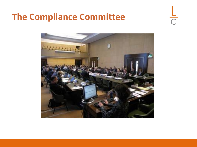#### **The Compliance Committee**



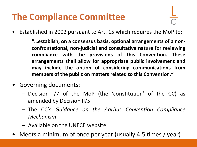#### **The Compliance Committee**

- 
- Established in 2002 pursuant to Art. 15 which requires the MoP to:

**"…establish, on a consensus basis, optional arrangements of a nonconfrontational, non-judicial and consultative nature for reviewing compliance with the provisions of this Convention. These arrangements shall allow for appropriate public involvement and may include the option of considering communications from members of the public on matters related to this Convention."**

- Governing documents:
	- Decision I/7 of the MoP (the 'constitution' of the CC) as amended by Decision II/5
	- The CC's *Guidance on the Aarhus Convention Compliance Mechanism*
	- Available on the UNECE website
- Meets a minimum of once per year (usually 4-5 times / year)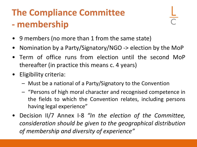### **The Compliance Committee - membership**

- 9 members (no more than 1 from the same state)
- Nomination by a Party/Signatory/NGO -> election by the MoP
- Term of office runs from election until the second MoP thereafter (in practice this means c. 4 years)
- Eligibility criteria:
	- Must be a national of a Party/Signatory to the Convention
	- "Persons of high moral character and recognised competence in the fields to which the Convention relates, including persons having legal experience"
- Decision II/7 Annex I-8 *"In the election of the Committee, consideration should be given to the geographical distribution of membership and diversity of experience"*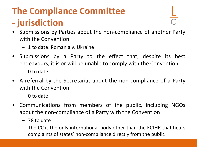# **The Compliance Committee - jurisdiction**

- 
- Submissions by Parties about the non-compliance of another Party with the Convention
	- 1 to date: Romania v. Ukraine
- Submissions by a Party to the effect that, despite its best endeavours, it is or will be unable to comply with the Convention
	- 0 to date
- A referral by the Secretariat about the non-compliance of a Party with the Convention
	- 0 to date
- Communications from members of the public, including NGOs about the non-compliance of a Party with the Convention
	- 78 to date
	- The CC is the only international body other than the ECtHR that hears complaints of states' non-compliance directly from the public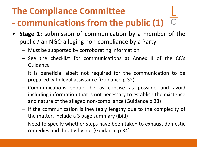### **The Compliance Committee - communications from the public (1)**

- **Stage 1:** submission of communication by a member of the public / an NGO alleging non-compliance by a Party
	- Must be supported by corroborating information
	- See the checklist for communications at Annex II of the CC's Guidance
	- It is beneficial albeit not required for the communication to be prepared with legal assistance (Guidance p.32)
	- Communications should be as concise as possible and avoid including information that is not necessary to establish the existence and nature of the alleged non-compliance (Guidance p.33)
	- If the communication is inevitably lengthy due to the complexity of the matter, include a 3 page summary (ibid)
	- Need to specify whether steps have been taken to exhaust domestic remedies and if not why not (Guidance p.34)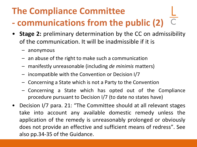# **The Compliance Committee - communications from the public (2)**

- **Stage 2:** preliminary determination by the CC on admissibility of the communication. It will be inadmissible if it is
	- anonymous
	- an abuse of the right to make such a communication
	- manifestly unreasonable (including *de minimis* matters)
	- incompatible with the Convention or Decision I/7
	- Concerning a State which is not a Party to the Convention
	- Concerning a State which has opted out of the Compliance procedure pursuant to Decision I/7 (to date no states have)
- Decision I/7 para. 21: "The Committee should at all relevant stages take into account any available domestic remedy unless the application of the remedy is unreasonably prolonged or obviously does not provide an effective and sufficient means of redress". See also pp.34-35 of the Guidance.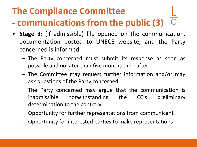#### **The Compliance Committee - communications from the public (3)**

- **Stage 3:** (if admissible) file opened on the communication, documentation posted to UNECE website, and the Party concerned is informed
	- The Party concerned must submit its response as soon as possible and no later than five months thereafter
	- The Committee may request further information and/or may ask questions of the Party concerned
	- The Party concerned may argue that the communication is inadmissible notwithstanding the CC's preliminary determination to the contrary
	- Opportunity for further representations from communicant
	- Opportunity for interested parties to make representations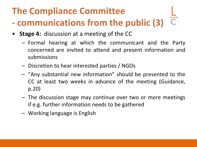# **The Compliance Committee - communications from the public (3)**

- **Stage 4:** discussion at a meeting of the CC
	- Formal hearing at which the communicant and the Party concerned are invited to attend and present information and submissions
	- Discretion to hear interested parties / NGOs
	- "Any substantial new information" should be presented to the CC at least two weeks in advance of the meeting (Guidance, p.20)
	- The discussion stage may continue over two or more meetings if e.g. further information needs to be gathered
	- Working language is English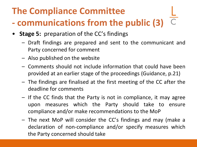# **The Compliance Committee - communications from the public (3)**

- **Stage 5:** preparation of the CC's findings
	- Draft findings are prepared and sent to the communicant and Party concerned for comment
	- Also published on the website
	- Comments should not include information that could have been provided at an earlier stage of the proceedings (Guidance, p.21)
	- The findings are finalised at the first meeting of the CC after the deadline for comments
	- If the CC finds that the Party is not in compliance, it may agree upon measures which the Party should take to ensure compliance and/or make recommendations to the MoP
	- The next MoP will consider the CC's findings and may (make a declaration of non-compliance and/or specify measures which the Party concerned should take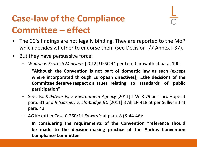### **Case-law of the Compliance Committee – effect**

- The CC's findings are not legally binding. They are reported to the MoP which decides whether to endorse them (see Decision I/7 Annex I-37).
- But they have persuasive force:
	- *Walton v. Scottish Ministers* [2012] UKSC 44 per Lord Carnwath at para. 100:

**"Although the Convention is not part of domestic law as such (except where incorporated through European directives), …the decisions of the Committee deserve respect on issues relating to standards of public participation"** 

- See also *R (Edwards) v. Environment Agency* [2011] 1 WLR 79 per Lord Hope at para. 31 and *R (Garner) v. Elmbridge BC* [2011] 3 All ER 418 at per Sullivan J at para. 43
- AG Kokott in Case C-260/11 *Edwards* at para. 8 (& 44-46):

**In considering the requirements of the Convention "reference should be made to the decision-making practice of the Aarhus Convention Compliance Committee"**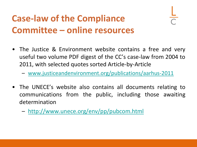#### **Case-law of the Compliance Committee – online resources**

- The Justice & Environment website contains a free and very useful two volume PDF digest of the CC's case-law from 2004 to 2011, with selected quotes sorted Article-by-Article
	- [www.justiceandenvironment.org/publications/aarhus-2011](http://www.justiceandenvironment.org/publications/aarhus-2011)
- The UNECE's website also contains all documents relating to communications from the public, including those awaiting determination
	- <http://www.unece.org/env/pp/pubcom.html>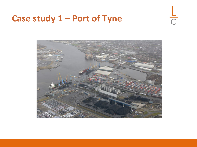#### **Case study 1 – Port of Tyne**



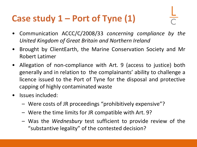#### **Case study 1 – Port of Tyne (1)**

- Communication ACCC/C/2008/33 *concerning compliance by the United Kingdom of Great Britain and Northern Ireland*
- Brought by ClientEarth, the Marine Conservation Society and Mr Robert Latimer
- Allegation of non-compliance with Art. 9 (access to justice) both generally and in relation to the complainants' ability to challenge a licence issued to the Port of Tyne for the disposal and protective capping of highly contaminated waste
- Issues included:
	- Were costs of JR proceedings "prohibitively expensive"?
	- Were the time limits for JR compatible with Art. 9?
	- Was the *Wednesbury* test sufficient to provide review of the "substantive legality" of the contested decision?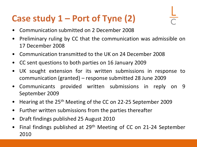### **Case study 1 – Port of Tyne (2)**

- Communication submitted on 2 December 2008
- Preliminary ruling by CC that the communication was admissible on 17 December 2008
- Communication transmitted to the UK on 24 December 2008
- CC sent questions to both parties on 16 January 2009
- UK sought extension for its written submissions in response to communication (granted) – response submitted 28 June 2009
- Communicants provided written submissions in reply on 9 September 2009
- Hearing at the 25<sup>th</sup> Meeting of the CC on 22-25 September 2009
- Further written submissions from the parties thereafter
- Draft findings published 25 August 2010
- Final findings published at 29<sup>th</sup> Meeting of CC on 21-24 September 2010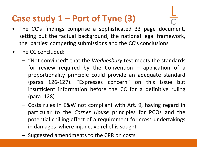#### **Case study 1 – Port of Tyne (3)**

- The CC's findings comprise a sophisticated 33 page document, setting out the factual background, the national legal framework, the parties' competing submissions and the CC's conclusions
- The CC concluded:
	- "Not convinced" that the *Wednesbury* test meets the standards for review required by the Convention – application of a proportionality principle could provide an adequate standard (paras 126-127). "Expresses concern" on this issue but insufficient information before the CC for a definitive ruling (para. 128)
	- Costs rules in E&W not compliant with Art. 9, having regard in particular to the *Corner House* principles for PCOs and the potential chilling effect of a requirement for cross-undertakings in damages where injunctive relief is sought
	- Suggested amendments to the CPR on costs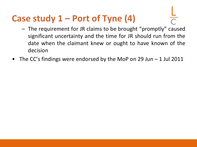#### **Case study 1 – Port of Tyne (4)**

- The requirement for JR claims to be brought "promptly" caused significant uncertainty and the time for JR should run from the date when the claimant knew or ought to have known of the decision
- The CC's findings were endorsed by the MoP on 29 Jun  $-1$  Jul 2011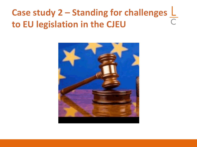#### **Case study 2 – Standing for challenges**  $\frac{1}{C}$ **to EU legislation in the CJEU**

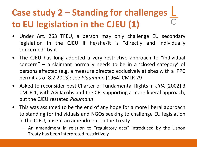# **Case study 2 – Standing for challenges to EU legislation in the CJEU (1)**

- Under Art. 263 TFEU, a person may only challenge EU secondary legislation in the CJEU if he/she/it is "directly and individually concerned" by it
- The CJEU has long adopted a very restrictive approach to "individual concern" – a claimant normally needs to be in a 'closed category' of persons affected (e.g. a measure directed exclusively at sites with a IPPC permit as of 8.2.2013): see *Plaumann* [1964] CMLR 29
- Asked to reconsider post Charter of Fundamental Rights in *UPA* [2002] 3 CMLR 1, with AG Jacobs and the CFI supporting a more liberal approach, but the CJEU restated *Plaumann*
- This was assumed to be the end of any hope for a more liberal approach to standing for individuals and NGOs seeking to challenge EU legislation in the CJEU, absent an amendment to the Treaty
	- An amendment in relation to "regulatory acts" introduced by the Lisbon Treaty has been interpreted restrictively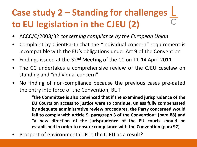# **Case study 2 – Standing for challenges to EU legislation in the CJEU (2)**

- ACCC/C/2008/32 *concerning compliance by the European Union*
- Complaint by ClientEarth that the "individual concern" requirement is incompatible with the EU's obligations under Art 9 of the Convention
- Findings issued at the  $32<sup>nd</sup>$  Meeting of the CC on 11-14 April 2011
- The CC undertakes a comprehensive review of the CJEU caselaw on standing and "individual concern"
- No finding of non-compliance because the previous cases pre-dated the entry into force of the Convention, BUT

**"the Committee is also convinced that if the examined jurisprudence of the EU Courts on access to justice were to continue, unless fully compensated by adequate administrative review procedures, the Party concerned would fail to comply with article 9, paragraph 3 of the Convention" (para 88) and "a new direction of the jurisprudence of the EU courts should be established in order to ensure compliance with the Convention (para 97)**

• Prospect of environmental JR in the CJEU as a result?